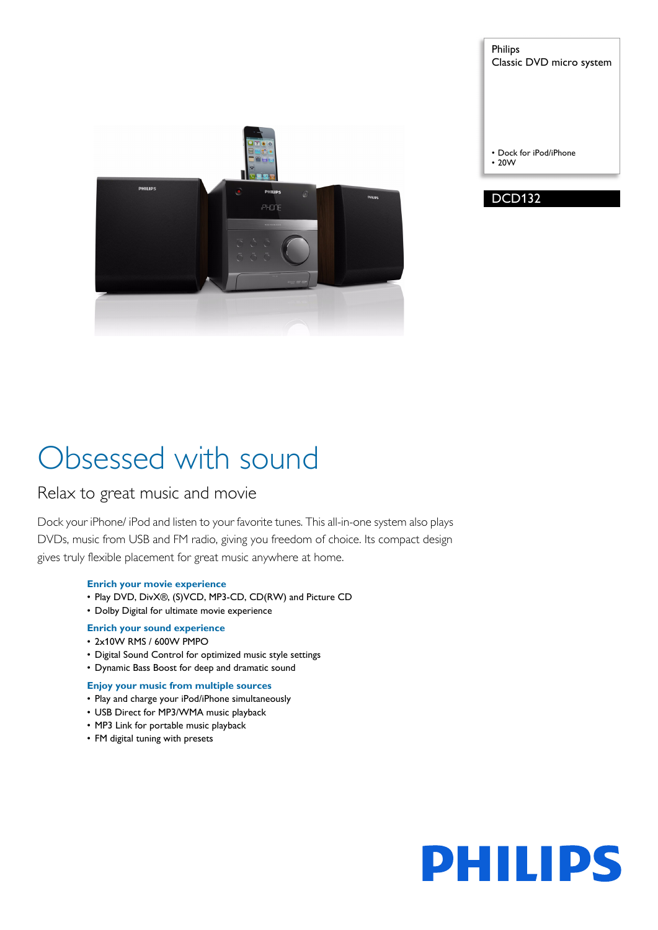

Philips Classic DVD micro system

• Dock for iPod/iPhone • 20W



# Obsessed with sound

# Relax to great music and movie

Dock your iPhone/ iPod and listen to your favorite tunes. This all-in-one system also plays DVDs, music from USB and FM radio, giving you freedom of choice. Its compact design gives truly flexible placement for great music anywhere at home.

# **Enrich your movie experience**

- Play DVD, DivX®, (S)VCD, MP3-CD, CD(RW) and Picture CD
- Dolby Digital for ultimate movie experience

# **Enrich your sound experience**

- 2x10W RMS / 600W PMPO
- Digital Sound Control for optimized music style settings
- Dynamic Bass Boost for deep and dramatic sound

# **Enjoy your music from multiple sources**

- Play and charge your iPod/iPhone simultaneously
- USB Direct for MP3/WMA music playback
- MP3 Link for portable music playback
- FM digital tuning with presets

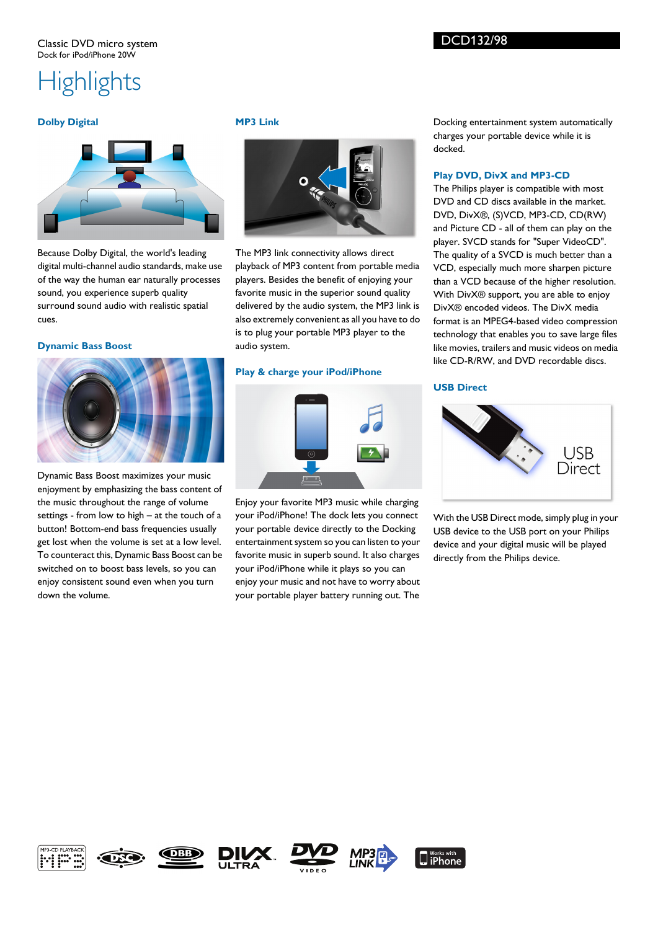# DCD132/98

# **Highlights**

## **Dolby Digital**



Because Dolby Digital, the world's leading digital multi-channel audio standards, make use of the way the human ear naturally processes sound, you experience superb quality surround sound audio with realistic spatial cues.

#### **Dynamic Bass Boost**



Dynamic Bass Boost maximizes your music enjoyment by emphasizing the bass content of the music throughout the range of volume settings - from low to high – at the touch of a button! Bottom-end bass frequencies usually get lost when the volume is set at a low level. To counteract this, Dynamic Bass Boost can be switched on to boost bass levels, so you can enjoy consistent sound even when you turn down the volume.

#### **MP3 Link**



The MP3 link connectivity allows direct playback of MP3 content from portable media players. Besides the benefit of enjoying your favorite music in the superior sound quality delivered by the audio system, the MP3 link is also extremely convenient as all you have to do is to plug your portable MP3 player to the audio system.

## **Play & charge your iPod/iPhone**



Enjoy your favorite MP3 music while charging your iPod/iPhone! The dock lets you connect your portable device directly to the Docking entertainment system so you can listen to your favorite music in superb sound. It also charges your iPod/iPhone while it plays so you can enjoy your music and not have to worry about your portable player battery running out. The Docking entertainment system automatically charges your portable device while it is docked.

### **Play DVD, DivX and MP3-CD**

The Philips player is compatible with most DVD and CD discs available in the market. DVD, DivX®, (S)VCD, MP3-CD, CD(RW) and Picture CD - all of them can play on the player. SVCD stands for "Super VideoCD". The quality of a SVCD is much better than a VCD, especially much more sharpen picture than a VCD because of the higher resolution. With DivX® support, you are able to enjoy DivX® encoded videos. The DivX media format is an MPEG4-based video compression technology that enables you to save large files like movies, trailers and music videos on media like CD-R/RW, and DVD recordable discs.

# **USB Direct**



With the USB Direct mode, simply plug in your USB device to the USB port on your Philips device and your digital music will be played directly from the Philips device.